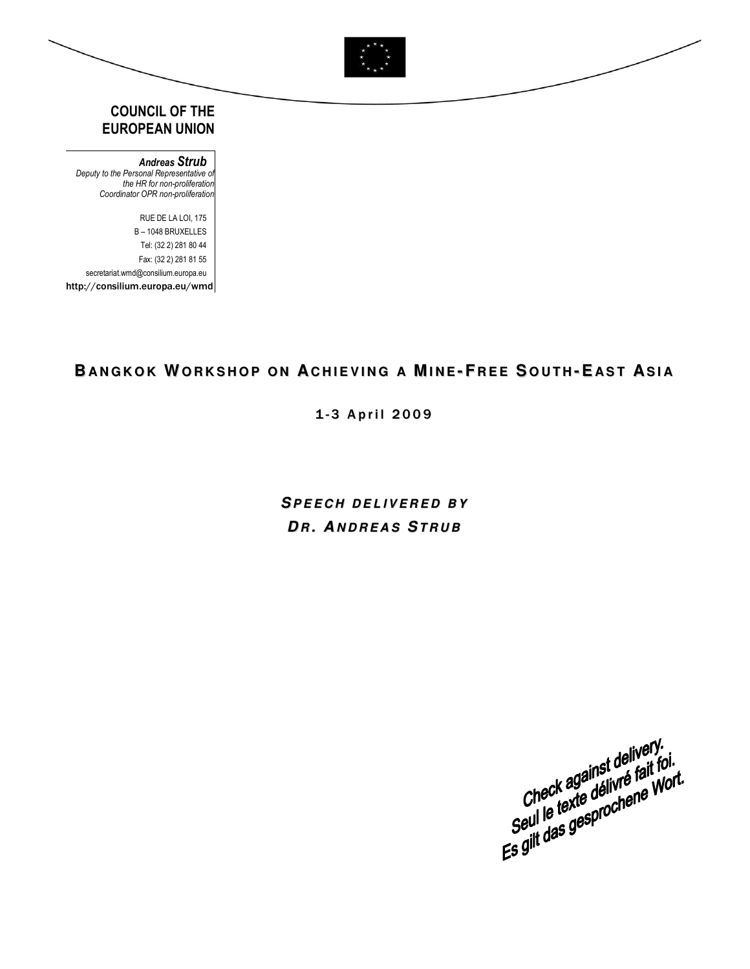

## COUNCIL OF THE EUROPEAN UNION

Andreas Strub Deputy to the Personal Representative of the HR for non-proliferation Coordinator OPR non-proliferation

 RUE DE LA LOI, 175 B – 1048 BRUXELLES Tel: (32 2) 281 80 44 Fax: (32 2) 281 81 55 secretariat.wmd@consilium.europa.eu http://consilium.europa.eu/wmd

# BANGKOK WORKSHOP ON ACHIEVING A MINE-FREE SOUTH-EAST ASIA

1-3 April 2009

**SP E E C H D E L I V E R E D B Y**  $DR$ , ANDREAS STRUB



 $\overline{\phantom{a}}$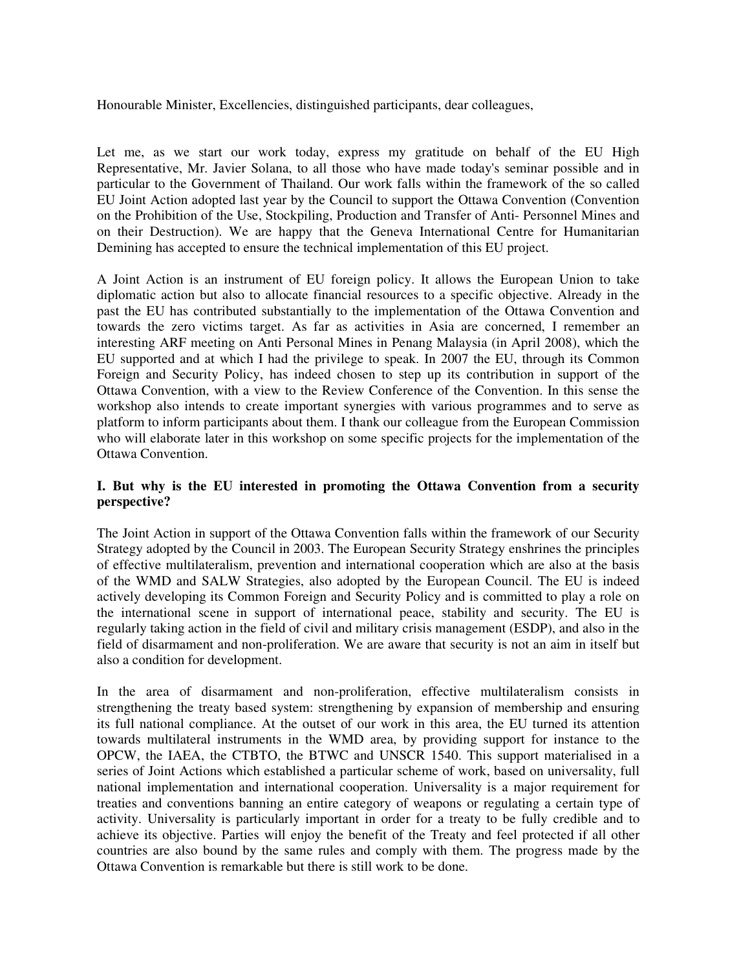Honourable Minister, Excellencies, distinguished participants, dear colleagues,

Let me, as we start our work today, express my gratitude on behalf of the EU High Representative, Mr. Javier Solana, to all those who have made today's seminar possible and in particular to the Government of Thailand. Our work falls within the framework of the so called EU Joint Action adopted last year by the Council to support the Ottawa Convention (Convention on the Prohibition of the Use, Stockpiling, Production and Transfer of Anti- Personnel Mines and on their Destruction). We are happy that the Geneva International Centre for Humanitarian Demining has accepted to ensure the technical implementation of this EU project.

A Joint Action is an instrument of EU foreign policy. It allows the European Union to take diplomatic action but also to allocate financial resources to a specific objective. Already in the past the EU has contributed substantially to the implementation of the Ottawa Convention and towards the zero victims target. As far as activities in Asia are concerned, I remember an interesting ARF meeting on Anti Personal Mines in Penang Malaysia (in April 2008), which the EU supported and at which I had the privilege to speak. In 2007 the EU, through its Common Foreign and Security Policy, has indeed chosen to step up its contribution in support of the Ottawa Convention, with a view to the Review Conference of the Convention. In this sense the workshop also intends to create important synergies with various programmes and to serve as platform to inform participants about them. I thank our colleague from the European Commission who will elaborate later in this workshop on some specific projects for the implementation of the Ottawa Convention.

### **I. But why is the EU interested in promoting the Ottawa Convention from a security perspective?**

The Joint Action in support of the Ottawa Convention falls within the framework of our Security Strategy adopted by the Council in 2003. The European Security Strategy enshrines the principles of effective multilateralism, prevention and international cooperation which are also at the basis of the WMD and SALW Strategies, also adopted by the European Council. The EU is indeed actively developing its Common Foreign and Security Policy and is committed to play a role on the international scene in support of international peace, stability and security. The EU is regularly taking action in the field of civil and military crisis management (ESDP), and also in the field of disarmament and non-proliferation. We are aware that security is not an aim in itself but also a condition for development.

In the area of disarmament and non-proliferation, effective multilateralism consists in strengthening the treaty based system: strengthening by expansion of membership and ensuring its full national compliance. At the outset of our work in this area, the EU turned its attention towards multilateral instruments in the WMD area, by providing support for instance to the OPCW, the IAEA, the CTBTO, the BTWC and UNSCR 1540. This support materialised in a series of Joint Actions which established a particular scheme of work, based on universality, full national implementation and international cooperation. Universality is a major requirement for treaties and conventions banning an entire category of weapons or regulating a certain type of activity. Universality is particularly important in order for a treaty to be fully credible and to achieve its objective. Parties will enjoy the benefit of the Treaty and feel protected if all other countries are also bound by the same rules and comply with them. The progress made by the Ottawa Convention is remarkable but there is still work to be done.